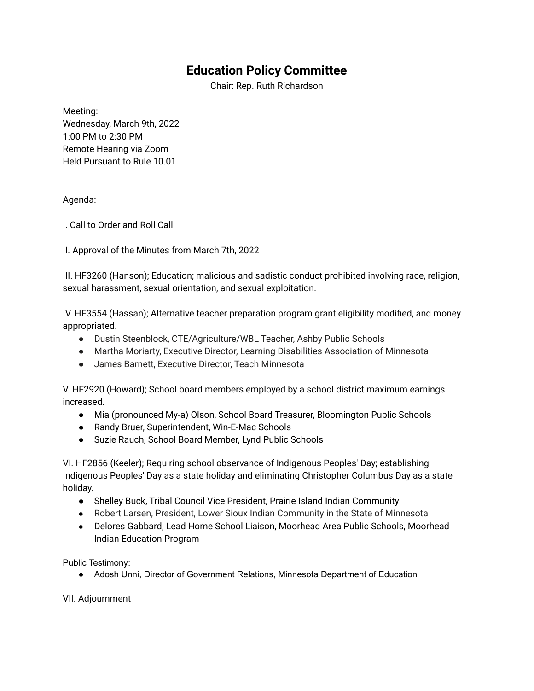## **Education Policy Committee**

Chair: Rep. Ruth Richardson

Meeting: Wednesday, March 9th, 2022 1:00 PM to 2:30 PM Remote Hearing via Zoom Held Pursuant to Rule 10.01

## Agenda:

I. Call to Order and Roll Call

II. Approval of the Minutes from March 7th, 2022

III. HF3260 (Hanson); Education; malicious and sadistic conduct prohibited involving race, religion, sexual harassment, sexual orientation, and sexual exploitation.

IV. HF3554 (Hassan); Alternative teacher preparation program grant eligibility modified, and money appropriated.

- Dustin Steenblock, CTE/Agriculture/WBL Teacher, Ashby Public Schools
- Martha Moriarty, Executive Director, Learning Disabilities Association of Minnesota
- James Barnett, Executive Director, Teach Minnesota

V. HF2920 (Howard); School board members employed by a school district maximum earnings increased.

- Mia (pronounced My-a) Olson, School Board Treasurer, Bloomington Public Schools
- Randy Bruer, Superintendent, Win-E-Mac Schools
- Suzie Rauch, School Board Member, Lynd Public Schools

VI. HF2856 (Keeler); Requiring school observance of Indigenous Peoples' Day; establishing Indigenous Peoples' Day as a state holiday and eliminating Christopher Columbus Day as a state holiday.

- Shelley Buck, Tribal Council Vice President, Prairie Island Indian Community
- Robert Larsen, President, Lower Sioux Indian Community in the State of Minnesota
- Delores Gabbard, Lead Home School Liaison, Moorhead Area Public Schools, Moorhead Indian Education Program

Public Testimony:

● Adosh Unni, Director of Government Relations, Minnesota Department of Education

VII. Adjournment